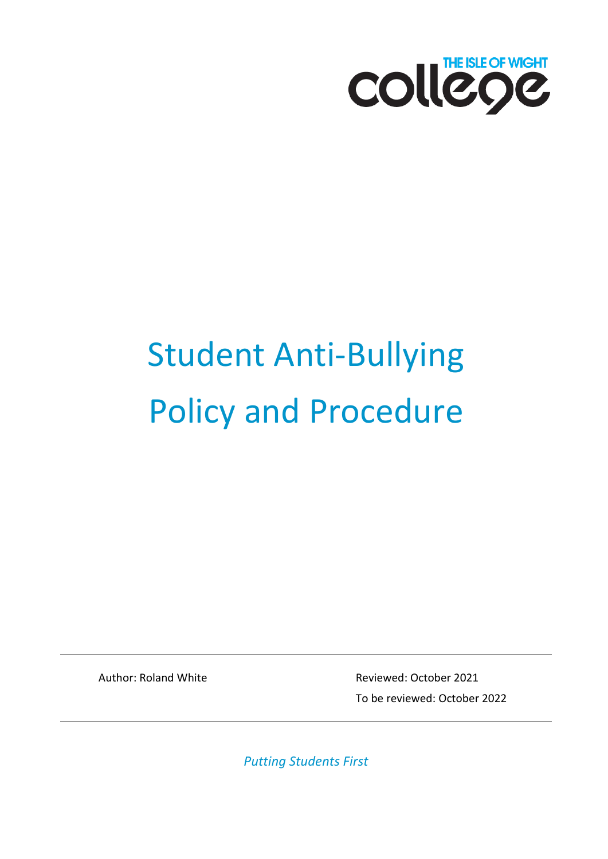

# Student Anti-Bullying Policy and Procedure

Author: Roland White **Reviewed: October 2021** To be reviewed: October 2022

*Putting Students First*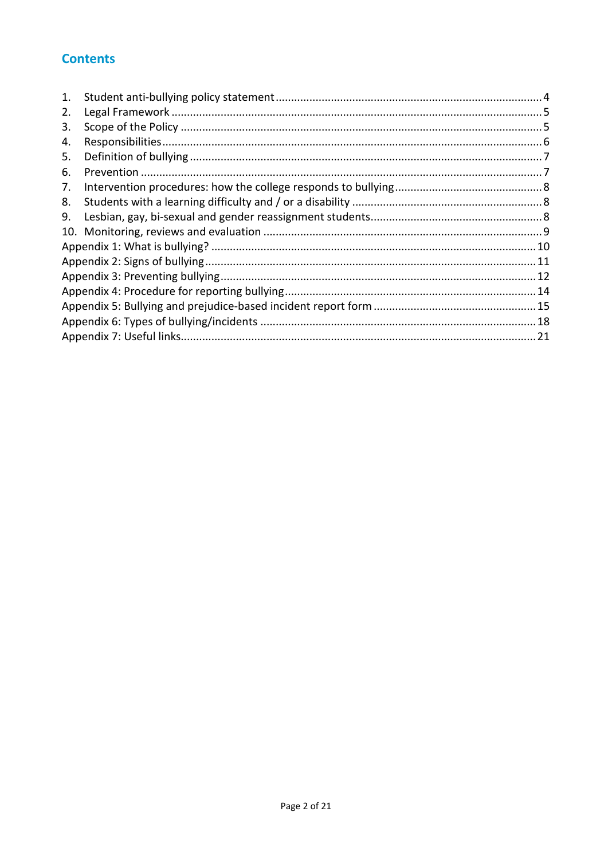## **Contents**

| 1. |  |  |  |
|----|--|--|--|
| 2. |  |  |  |
| 3. |  |  |  |
| 4. |  |  |  |
| 5. |  |  |  |
| 6. |  |  |  |
| 7. |  |  |  |
| 8. |  |  |  |
| 9. |  |  |  |
|    |  |  |  |
|    |  |  |  |
|    |  |  |  |
|    |  |  |  |
|    |  |  |  |
|    |  |  |  |
|    |  |  |  |
|    |  |  |  |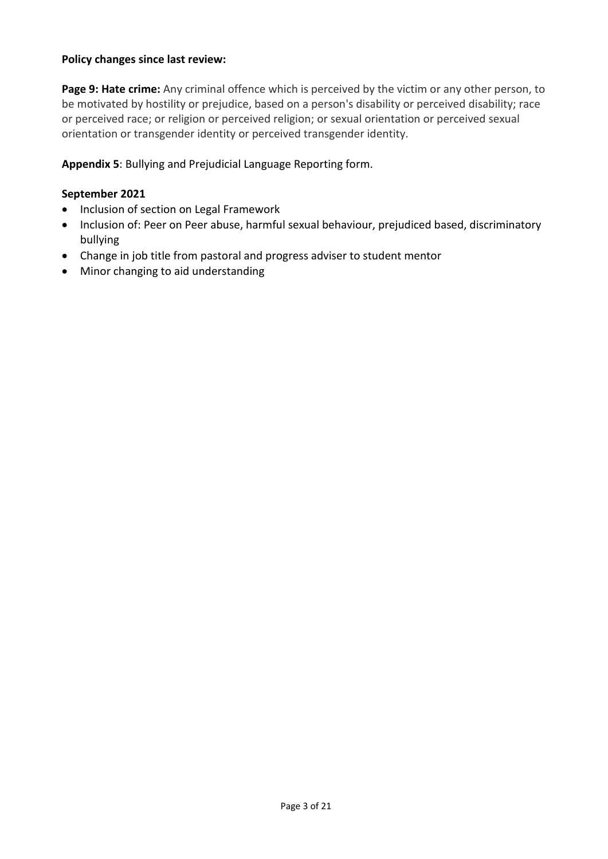## **Policy changes since last review:**

**Page 9: Hate crime:** Any criminal offence which is perceived by the victim or any other person, to be motivated by hostility or prejudice, based on a person's disability or perceived disability; race or perceived race; or religion or perceived religion; or sexual orientation or perceived sexual orientation or transgender identity or perceived transgender identity.

## **Appendix 5**: Bullying and Prejudicial Language Reporting form.

#### **September 2021**

- Inclusion of section on Legal Framework
- Inclusion of: Peer on Peer abuse, harmful sexual behaviour, prejudiced based, discriminatory bullying
- Change in job title from pastoral and progress adviser to student mentor
- Minor changing to aid understanding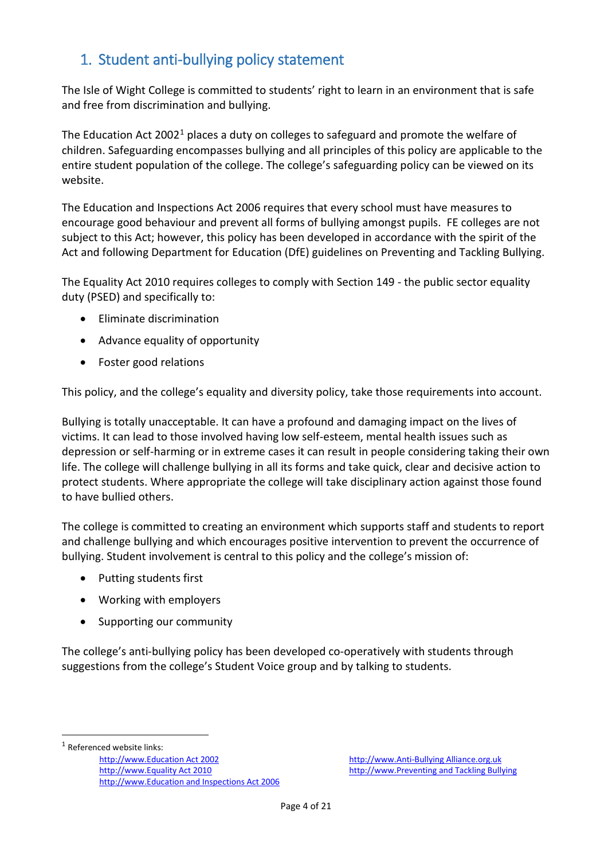# <span id="page-3-0"></span>1. Student anti-bullying policy statement

The Isle of Wight College is committed to students' right to learn in an environment that is safe and free from discrimination and bullying.

The Education Act 2002<sup>[1](#page-3-1)</sup> places a duty on colleges to safeguard and promote the welfare of children. Safeguarding encompasses bullying and all principles of this policy are applicable to the entire student population of the college. The college's safeguarding policy can be viewed on its website.

The Education and Inspections Act 2006 requires that every school must have measures to encourage good behaviour and prevent all forms of bullying amongst pupils. FE colleges are not subject to this Act; however, this policy has been developed in accordance with the spirit of the Act and following Department for Education (DfE) guidelines on Preventing and Tackling Bullying.

The Equality Act 2010 requires colleges to comply with Section 149 - the public sector equality duty (PSED) and specifically to:

- Eliminate discrimination
- Advance equality of opportunity
- Foster good relations

This policy, and the college's equality and diversity policy, take those requirements into account.

Bullying is totally unacceptable. It can have a profound and damaging impact on the lives of victims. It can lead to those involved having low self-esteem, mental health issues such as depression or self-harming or in extreme cases it can result in people considering taking their own life. The college will challenge bullying in all its forms and take quick, clear and decisive action to protect students. Where appropriate the college will take disciplinary action against those found to have bullied others.

The college is committed to creating an environment which supports staff and students to report and challenge bullying and which encourages positive intervention to prevent the occurrence of bullying. Student involvement is central to this policy and the college's mission of:

- Putting students first
- Working with employers
- Supporting our community

The college's anti-bullying policy has been developed co-operatively with students through suggestions from the college's Student Voice group and by talking to students.

<span id="page-3-1"></span><sup>1</sup> Referenced website links:

 $\overline{a}$ 

[http://www.Education Act 2002](http://www.legislation.gov.uk/ukpga/2002/32/contents) [http://www.Anti-Bullying Alliance.org.uk](http://www.anti-bullyingalliance.org.uk/) [http://www.Equality Act 2010](http://www.education.gov.uk/aboutdfe/policiesandprocedures/equalityanddiversity/a0064570/the-equality-act-2010) [http://www.Preventing and Tackling Bullying](http://www.education.gov.uk/aboutdfe/advice/f0076899/preventing-and-tackling-bullying) [http://www.Education and Inspections Act 2006](http://www.legislation.gov.uk/ukpga/2006/40/contents)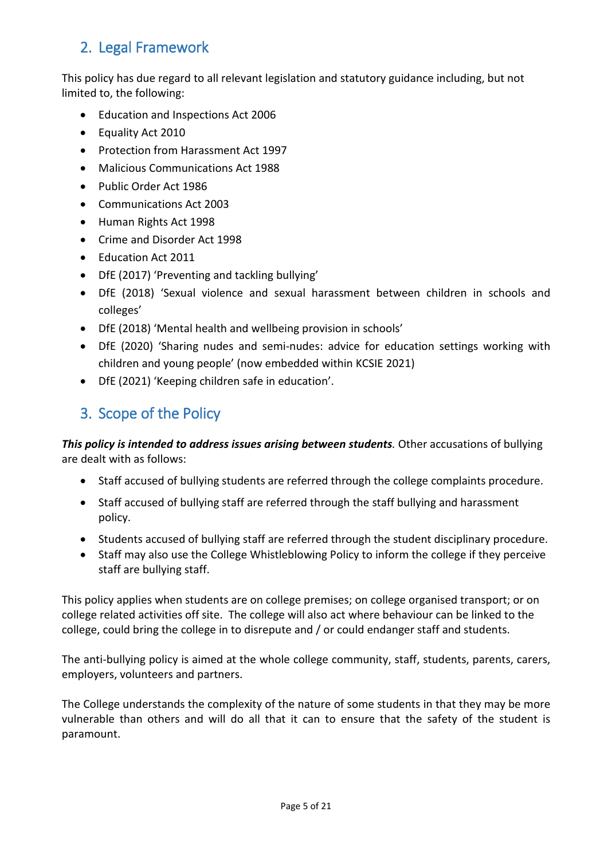# <span id="page-4-0"></span>2. Legal Framework

This policy has due regard to all relevant legislation and statutory guidance including, but not limited to, the following:

- Education and Inspections Act 2006
- Equality Act 2010
- Protection from Harassment Act 1997
- Malicious Communications Act 1988
- Public Order Act 1986
- Communications Act 2003
- Human Rights Act 1998
- Crime and Disorder Act 1998
- Education Act 2011
- DfE (2017) 'Preventing and tackling bullying'
- DfE (2018) 'Sexual violence and sexual harassment between children in schools and colleges'
- DfE (2018) 'Mental health and wellbeing provision in schools'
- DfE (2020) 'Sharing nudes and semi-nudes: advice for education settings working with children and young people' (now embedded within KCSIE 2021)
- DfE (2021) 'Keeping children safe in education'.

# <span id="page-4-1"></span>3. Scope of the Policy

*This policy is intended to address issues arising between students.* Other accusations of bullying are dealt with as follows:

- Staff accused of bullying students are referred through the college complaints procedure.
- Staff accused of bullying staff are referred through the staff bullying and harassment policy.
- Students accused of bullying staff are referred through the student disciplinary procedure.
- Staff may also use the College Whistleblowing Policy to inform the college if they perceive staff are bullying staff.

This policy applies when students are on college premises; on college organised transport; or on college related activities off site. The college will also act where behaviour can be linked to the college, could bring the college in to disrepute and / or could endanger staff and students.

The anti-bullying policy is aimed at the whole college community, staff, students, parents, carers, employers, volunteers and partners.

The College understands the complexity of the nature of some students in that they may be more vulnerable than others and will do all that it can to ensure that the safety of the student is paramount.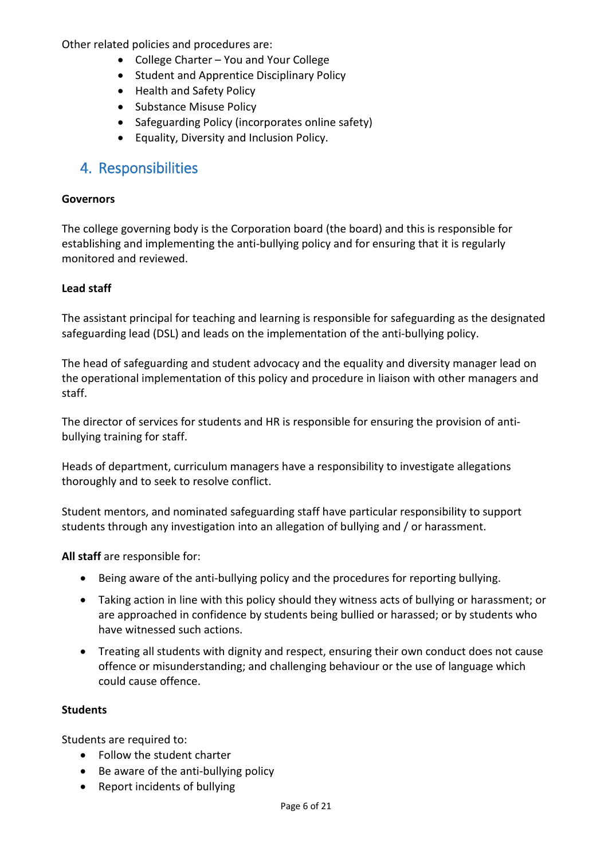Other related policies and procedures are:

- College Charter You and Your College
- Student and Apprentice Disciplinary Policy
- Health and Safety Policy
- Substance Misuse Policy
- Safeguarding Policy (incorporates online safety)
- Equality, Diversity and Inclusion Policy.

## <span id="page-5-0"></span>4. Responsibilities

#### **Governors**

The college governing body is the Corporation board (the board) and this is responsible for establishing and implementing the anti-bullying policy and for ensuring that it is regularly monitored and reviewed.

## **Lead staff**

The assistant principal for teaching and learning is responsible for safeguarding as the designated safeguarding lead (DSL) and leads on the implementation of the anti-bullying policy.

The head of safeguarding and student advocacy and the equality and diversity manager lead on the operational implementation of this policy and procedure in liaison with other managers and staff.

The director of services for students and HR is responsible for ensuring the provision of antibullying training for staff.

Heads of department, curriculum managers have a responsibility to investigate allegations thoroughly and to seek to resolve conflict.

Student mentors, and nominated safeguarding staff have particular responsibility to support students through any investigation into an allegation of bullying and / or harassment.

**All staff** are responsible for:

- Being aware of the anti-bullying policy and the procedures for reporting bullying.
- Taking action in line with this policy should they witness acts of bullying or harassment; or are approached in confidence by students being bullied or harassed; or by students who have witnessed such actions.
- Treating all students with dignity and respect, ensuring their own conduct does not cause offence or misunderstanding; and challenging behaviour or the use of language which could cause offence.

#### **Students**

Students are required to:

- Follow the student charter
- Be aware of the anti-bullying policy
- Report incidents of bullying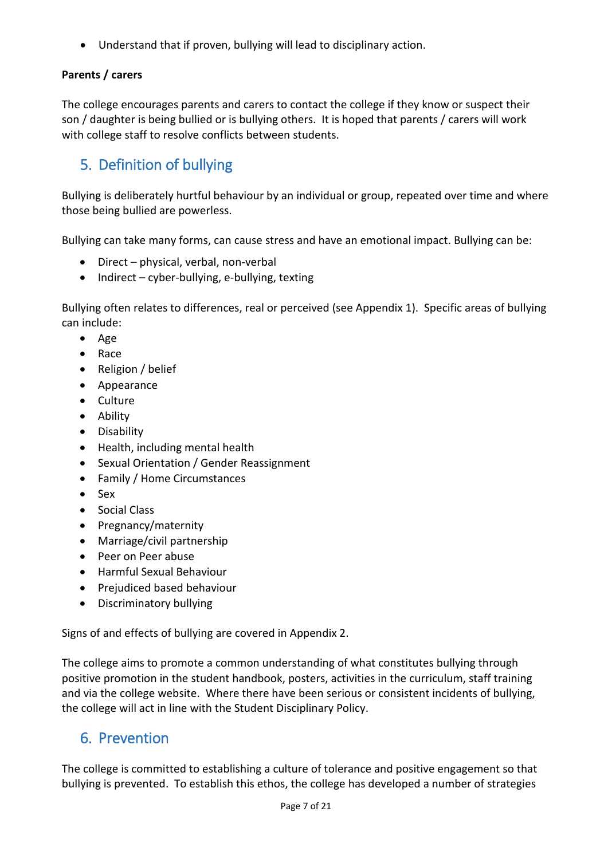• Understand that if proven, bullying will lead to disciplinary action.

## **Parents / carers**

The college encourages parents and carers to contact the college if they know or suspect their son / daughter is being bullied or is bullying others. It is hoped that parents / carers will work with college staff to resolve conflicts between students.

# <span id="page-6-0"></span>5. Definition of bullying

Bullying is deliberately hurtful behaviour by an individual or group, repeated over time and where those being bullied are powerless.

Bullying can take many forms, can cause stress and have an emotional impact. Bullying can be:

- Direct physical, verbal, non-verbal
- Indirect cyber-bullying, e-bullying, texting

Bullying often relates to differences, real or perceived (see Appendix 1). Specific areas of bullying can include:

- Age
- Race
- Religion / belief
- Appearance
- Culture
- Ability
- Disability
- Health, including mental health
- Sexual Orientation / Gender Reassignment
- Family / Home Circumstances
- Sex
- Social Class
- Pregnancy/maternity
- Marriage/civil partnership
- Peer on Peer abuse
- Harmful Sexual Behaviour
- Prejudiced based behaviour
- Discriminatory bullying

Signs of and effects of bullying are covered in Appendix 2.

The college aims to promote a common understanding of what constitutes bullying through positive promotion in the student handbook, posters, activities in the curriculum, staff training and via the college website. Where there have been serious or consistent incidents of bullying, the college will act in line with the Student Disciplinary Policy.

## <span id="page-6-1"></span>6. Prevention

The college is committed to establishing a culture of tolerance and positive engagement so that bullying is prevented. To establish this ethos, the college has developed a number of strategies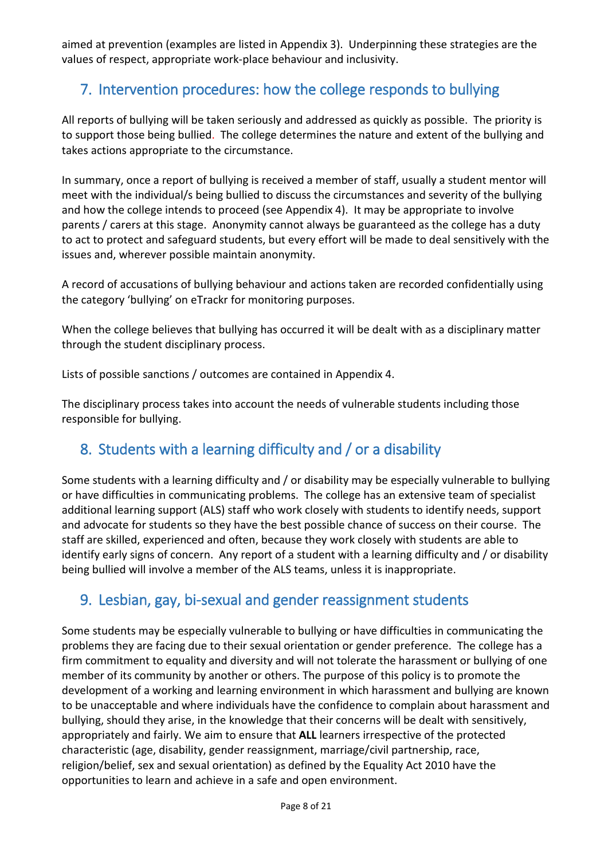aimed at prevention (examples are listed in Appendix 3). Underpinning these strategies are the values of respect, appropriate work-place behaviour and inclusivity.

# <span id="page-7-0"></span>7. Intervention procedures: how the college responds to bullying

All reports of bullying will be taken seriously and addressed as quickly as possible. The priority is to support those being bullied. The college determines the nature and extent of the bullying and takes actions appropriate to the circumstance.

In summary, once a report of bullying is received a member of staff, usually a student mentor will meet with the individual/s being bullied to discuss the circumstances and severity of the bullying and how the college intends to proceed (see Appendix 4). It may be appropriate to involve parents / carers at this stage. Anonymity cannot always be guaranteed as the college has a duty to act to protect and safeguard students, but every effort will be made to deal sensitively with the issues and, wherever possible maintain anonymity.

A record of accusations of bullying behaviour and actions taken are recorded confidentially using the category 'bullying' on eTrackr for monitoring purposes.

When the college believes that bullying has occurred it will be dealt with as a disciplinary matter through the student disciplinary process.

Lists of possible sanctions / outcomes are contained in Appendix 4.

The disciplinary process takes into account the needs of vulnerable students including those responsible for bullying.

# <span id="page-7-1"></span>8. Students with a learning difficulty and / or a disability

Some students with a learning difficulty and / or disability may be especially vulnerable to bullying or have difficulties in communicating problems. The college has an extensive team of specialist additional learning support (ALS) staff who work closely with students to identify needs, support and advocate for students so they have the best possible chance of success on their course. The staff are skilled, experienced and often, because they work closely with students are able to identify early signs of concern. Any report of a student with a learning difficulty and / or disability being bullied will involve a member of the ALS teams, unless it is inappropriate.

# <span id="page-7-2"></span>9. Lesbian, gay, bi-sexual and gender reassignment students

Some students may be especially vulnerable to bullying or have difficulties in communicating the problems they are facing due to their sexual orientation or gender preference. The college has a firm commitment to equality and diversity and will not tolerate the harassment or bullying of one member of its community by another or others. The purpose of this policy is to promote the development of a working and learning environment in which harassment and bullying are known to be unacceptable and where individuals have the confidence to complain about harassment and bullying, should they arise, in the knowledge that their concerns will be dealt with sensitively, appropriately and fairly. We aim to ensure that **ALL** learners irrespective of the protected characteristic (age, disability, gender reassignment, marriage/civil partnership, race, religion/belief, sex and sexual orientation) as defined by the Equality Act 2010 have the opportunities to learn and achieve in a safe and open environment.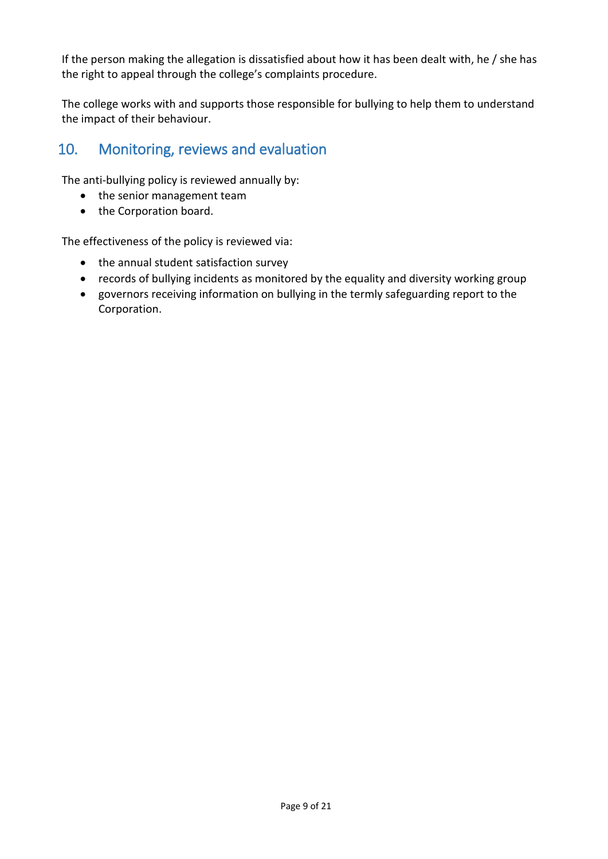If the person making the allegation is dissatisfied about how it has been dealt with, he / she has the right to appeal through the college's complaints procedure.

The college works with and supports those responsible for bullying to help them to understand the impact of their behaviour.

# <span id="page-8-0"></span>10. Monitoring, reviews and evaluation

The anti-bullying policy is reviewed annually by:

- the senior management team
- the Corporation board.

The effectiveness of the policy is reviewed via:

- the annual student satisfaction survey
- records of bullying incidents as monitored by the equality and diversity working group
- governors receiving information on bullying in the termly safeguarding report to the Corporation.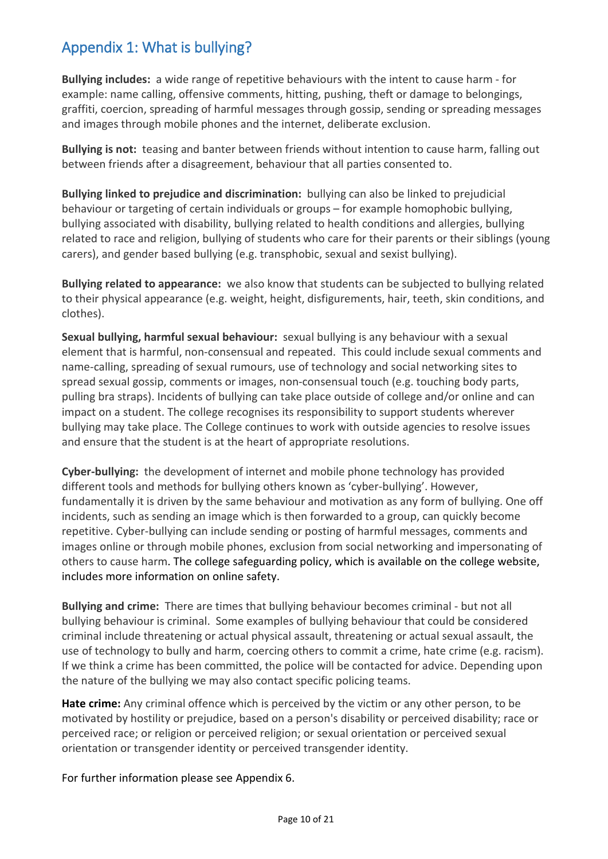# <span id="page-9-0"></span>Appendix 1: What is bullying?

**Bullying includes:** a wide range of repetitive behaviours with the intent to cause harm - for example: name calling, offensive comments, hitting, pushing, theft or damage to belongings, graffiti, coercion, spreading of harmful messages through gossip, sending or spreading messages and images through mobile phones and the internet, deliberate exclusion.

**Bullying is not:** teasing and banter between friends without intention to cause harm, falling out between friends after a disagreement, behaviour that all parties consented to.

**Bullying linked to prejudice and discrimination:** bullying can also be linked to prejudicial behaviour or targeting of certain individuals or groups – for example homophobic bullying, bullying associated with disability, bullying related to health conditions and allergies, bullying related to race and religion, bullying of students who care for their parents or their siblings (young carers), and gender based bullying (e.g. transphobic, sexual and sexist bullying).

**Bullying related to appearance:** we also know that students can be subjected to bullying related to their physical appearance (e.g. weight, height, disfigurements, hair, teeth, skin conditions, and clothes).

**Sexual bullying, harmful sexual behaviour:** sexual bullying is any behaviour with a sexual element that is harmful, non-consensual and repeated. This could include sexual comments and name-calling, spreading of sexual rumours, use of technology and social networking sites to spread sexual gossip, comments or images, non-consensual touch (e.g. touching body parts, pulling bra straps). Incidents of bullying can take place outside of college and/or online and can impact on a student. The college recognises its responsibility to support students wherever bullying may take place. The College continues to work with outside agencies to resolve issues and ensure that the student is at the heart of appropriate resolutions.

**Cyber-bullying:** the development of internet and mobile phone technology has provided different tools and methods for bullying others known as 'cyber-bullying'. However, fundamentally it is driven by the same behaviour and motivation as any form of bullying. One off incidents, such as sending an image which is then forwarded to a group, can quickly become repetitive. Cyber-bullying can include sending or posting of harmful messages, comments and images online or through mobile phones, exclusion from social networking and impersonating of others to cause harm. The college safeguarding policy, which is available on the college website, includes more information on online safety.

**Bullying and crime:** There are times that bullying behaviour becomes criminal - but not all bullying behaviour is criminal. Some examples of bullying behaviour that could be considered criminal include threatening or actual physical assault, threatening or actual sexual assault, the use of technology to bully and harm, coercing others to commit a crime, hate crime (e.g. racism). If we think a crime has been committed, the police will be contacted for advice. Depending upon the nature of the bullying we may also contact specific policing teams.

**Hate crime:** Any criminal offence which is perceived by the victim or any other person, to be motivated by hostility or prejudice, based on a person's disability or perceived disability; race or perceived race; or religion or perceived religion; or sexual orientation or perceived sexual orientation or transgender identity or perceived transgender identity.

For further information please see Appendix 6.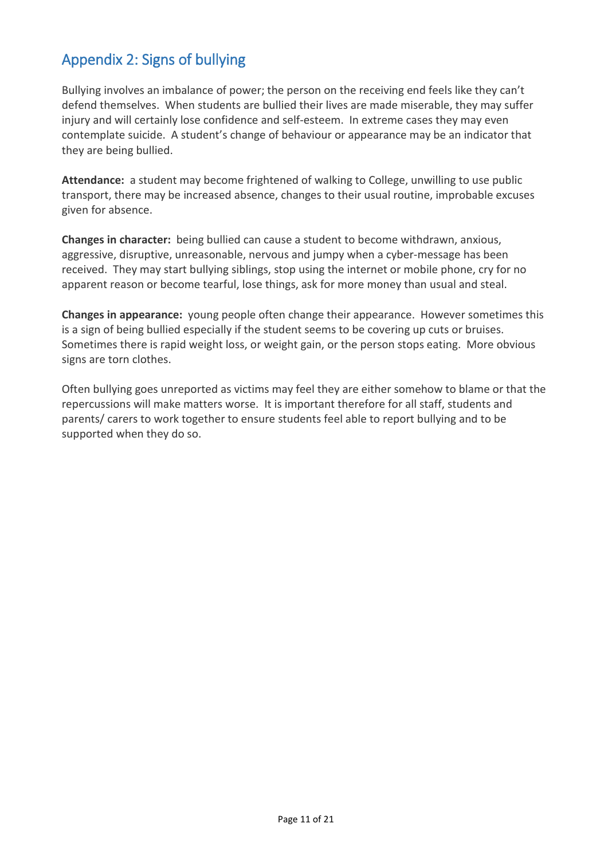# <span id="page-10-0"></span>Appendix 2: Signs of bullying

Bullying involves an imbalance of power; the person on the receiving end feels like they can't defend themselves. When students are bullied their lives are made miserable, they may suffer injury and will certainly lose confidence and self-esteem. In extreme cases they may even contemplate suicide. A student's change of behaviour or appearance may be an indicator that they are being bullied.

**Attendance:** a student may become frightened of walking to College, unwilling to use public transport, there may be increased absence, changes to their usual routine, improbable excuses given for absence.

**Changes in character:** being bullied can cause a student to become withdrawn, anxious, aggressive, disruptive, unreasonable, nervous and jumpy when a cyber-message has been received. They may start bullying siblings, stop using the internet or mobile phone, cry for no apparent reason or become tearful, lose things, ask for more money than usual and steal.

**Changes in appearance:** young people often change their appearance. However sometimes this is a sign of being bullied especially if the student seems to be covering up cuts or bruises. Sometimes there is rapid weight loss, or weight gain, or the person stops eating. More obvious signs are torn clothes.

Often bullying goes unreported as victims may feel they are either somehow to blame or that the repercussions will make matters worse. It is important therefore for all staff, students and parents/ carers to work together to ensure students feel able to report bullying and to be supported when they do so.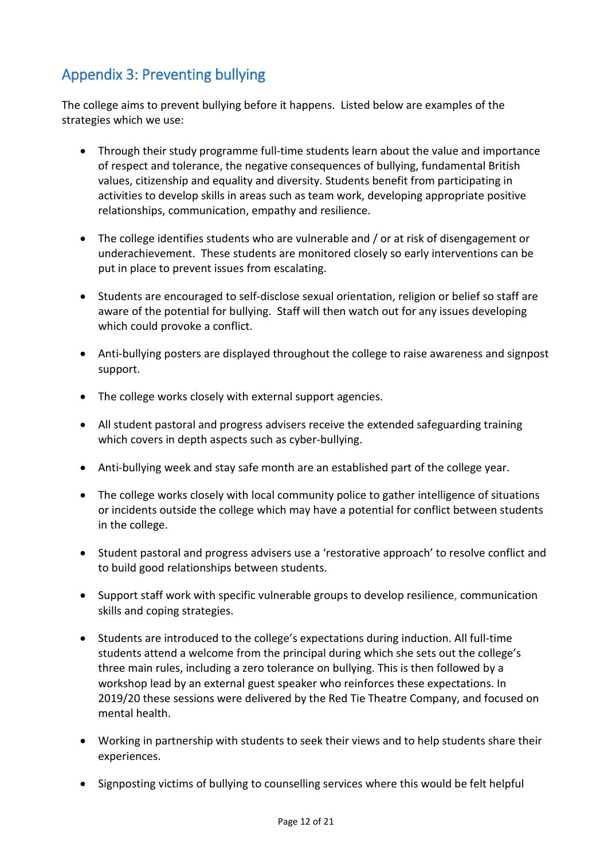# <span id="page-11-0"></span>Appendix 3: Preventing bullying

The college aims to prevent bullying before it happens. Listed below are examples of the strategies which we use:

- Through their study programme full-time students learn about the value and importance of respect and tolerance, the negative consequences of bullying, fundamental British values, citizenship and equality and diversity. Students benefit from participating in activities to develop skills in areas such as team work, developing appropriate positive relationships, communication, empathy and resilience.
- The college identifies students who are vulnerable and / or at risk of disengagement or underachievement. These students are monitored closely so early interventions can be put in place to prevent issues from escalating.
- Students are encouraged to self-disclose sexual orientation, religion or belief so staff are aware of the potential for bullying. Staff will then watch out for any issues developing which could provoke a conflict.
- Anti-bullying posters are displayed throughout the college to raise awareness and signpost support.
- The college works closely with external support agencies.
- All student pastoral and progress advisers receive the extended safeguarding training which covers in depth aspects such as cyber-bullying.
- Anti-bullying week and stay safe month are an established part of the college year.
- The college works closely with local community police to gather intelligence of situations or incidents outside the college which may have a potential for conflict between students in the college.
- Student pastoral and progress advisers use a 'restorative approach' to resolve conflict and to build good relationships between students.
- Support staff work with specific vulnerable groups to develop resilience, communication skills and coping strategies.
- Students are introduced to the college's expectations during induction. All full-time students attend a welcome from the principal during which she sets out the college's three main rules, including a zero tolerance on bullying. This is then followed by a workshop lead by an external guest speaker who reinforces these expectations. In 2019/20 these sessions were delivered by the Red Tie Theatre Company, and focused on mental health.
- Working in partnership with students to seek their views and to help students share their experiences.
- Signposting victims of bullying to counselling services where this would be felt helpful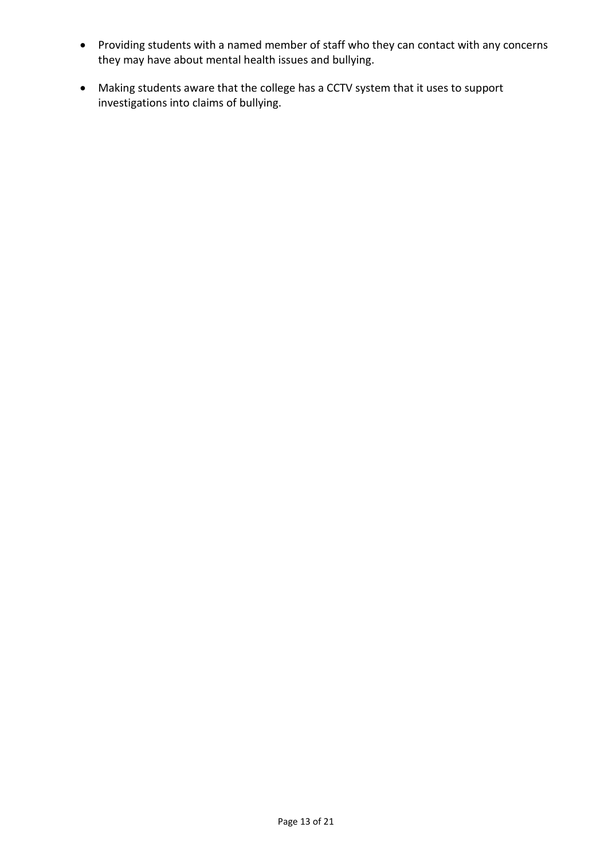- Providing students with a named member of staff who they can contact with any concerns they may have about mental health issues and bullying.
- Making students aware that the college has a CCTV system that it uses to support investigations into claims of bullying.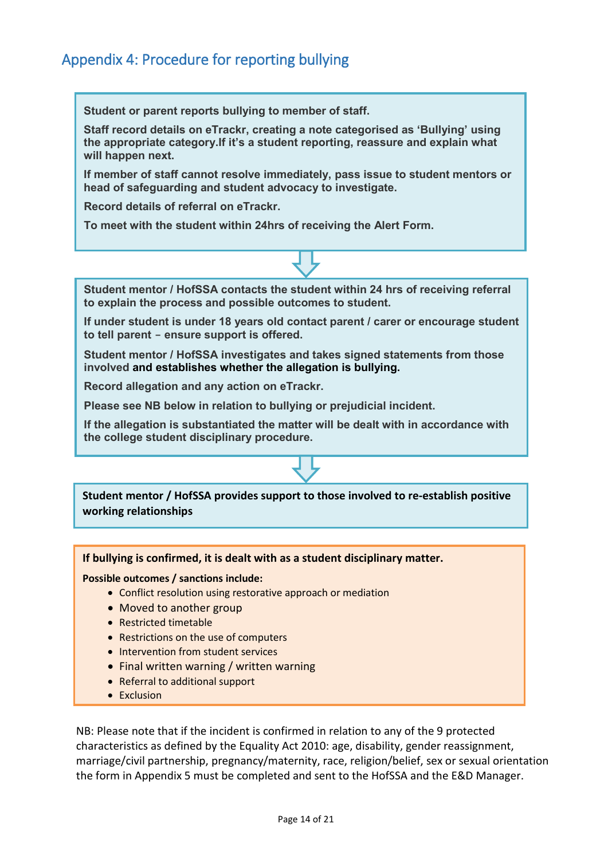# <span id="page-13-0"></span>Appendix 4: Procedure for reporting bullying

**Student or parent reports bullying to member of staff.**

**Staff record details on eTrackr, creating a note categorised as 'Bullying' using the appropriate category.If it's a student reporting, reassure and explain what will happen next.**

**If member of staff cannot resolve immediately, pass issue to student mentors or head of safeguarding and student advocacy to investigate.**

**Record details of referral on eTrackr.**

**To meet with the student within 24hrs of receiving the Alert Form.**

**Student mentor / HofSSA contacts the student within 24 hrs of receiving referral to explain the process and possible outcomes to student.**

**If under student is under 18 years old contact parent / carer or encourage student to tell parent - ensure support is offered.**

**Student mentor / HofSSA investigates and takes signed statements from those involved and establishes whether the allegation is bullying.**

**Record allegation and any action on eTrackr.**

**Please see NB below in relation to bullying or prejudicial incident.**

**If the allegation is substantiated the matter will be dealt with in accordance with the college student disciplinary procedure.**

**Student mentor / HofSSA provides support to those involved to re-establish positive working relationships**

**If bullying is confirmed, it is dealt with as a student disciplinary matter.** 

**Possible outcomes / sanctions include:**

- Conflict resolution using restorative approach or mediation
- Moved to another group
- Restricted timetable
- Restrictions on the use of computers
- Intervention from student services
- Final written warning / written warning
- Referral to additional support
- Exclusion

NB: Please note that if the incident is confirmed in relation to any of the 9 protected characteristics as defined by the Equality Act 2010: age, disability, gender reassignment, marriage/civil partnership, pregnancy/maternity, race, religion/belief, sex or sexual orientation the form in Appendix 5 must be completed and sent to the HofSSA and the E&D Manager.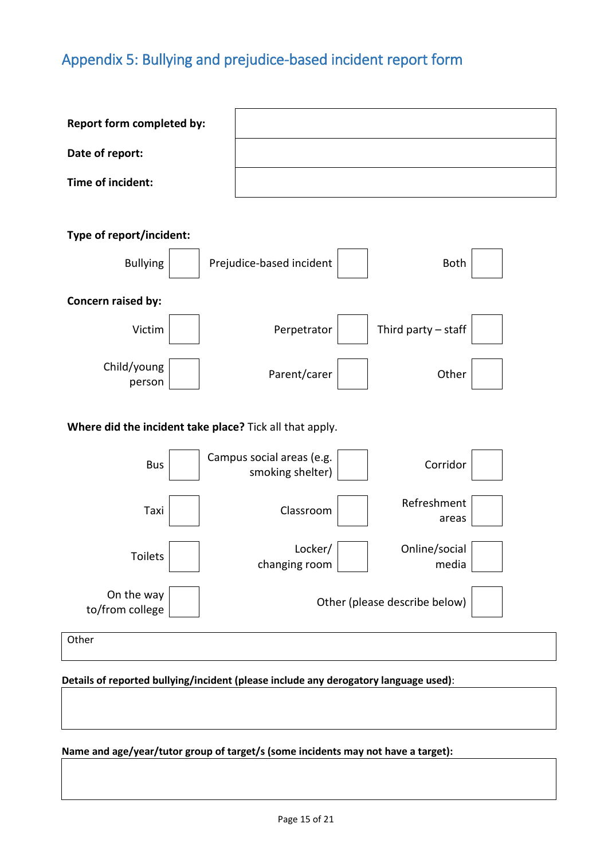# <span id="page-14-0"></span>Appendix 5: Bullying and prejudice-based incident report form

| Report form completed by:                               |                                                           |  |  |  |  |  |  |  |
|---------------------------------------------------------|-----------------------------------------------------------|--|--|--|--|--|--|--|
| Date of report:                                         |                                                           |  |  |  |  |  |  |  |
| Time of incident:                                       |                                                           |  |  |  |  |  |  |  |
| Type of report/incident:                                |                                                           |  |  |  |  |  |  |  |
| <b>Bullying</b>                                         | Prejudice-based incident<br><b>Both</b>                   |  |  |  |  |  |  |  |
| Concern raised by:                                      |                                                           |  |  |  |  |  |  |  |
| Victim                                                  | Third party $-$ staff<br>Perpetrator                      |  |  |  |  |  |  |  |
| Child/young<br>person                                   | Parent/carer<br>Other                                     |  |  |  |  |  |  |  |
| Where did the incident take place? Tick all that apply. |                                                           |  |  |  |  |  |  |  |
| <b>Bus</b>                                              | Campus social areas (e.g.<br>Corridor<br>smoking shelter) |  |  |  |  |  |  |  |
| Taxi                                                    | Refreshment<br>Classroom<br>areas                         |  |  |  |  |  |  |  |
| Toilets                                                 | Online/social<br>Locker/<br>changing room<br>media        |  |  |  |  |  |  |  |
| On the way<br>to/from college                           | Other (please describe below)                             |  |  |  |  |  |  |  |
| Other                                                   |                                                           |  |  |  |  |  |  |  |

#### **Details of reported bullying/incident (please include any derogatory language used)**:

## **Name and age/year/tutor group of target/s (some incidents may not have a target):**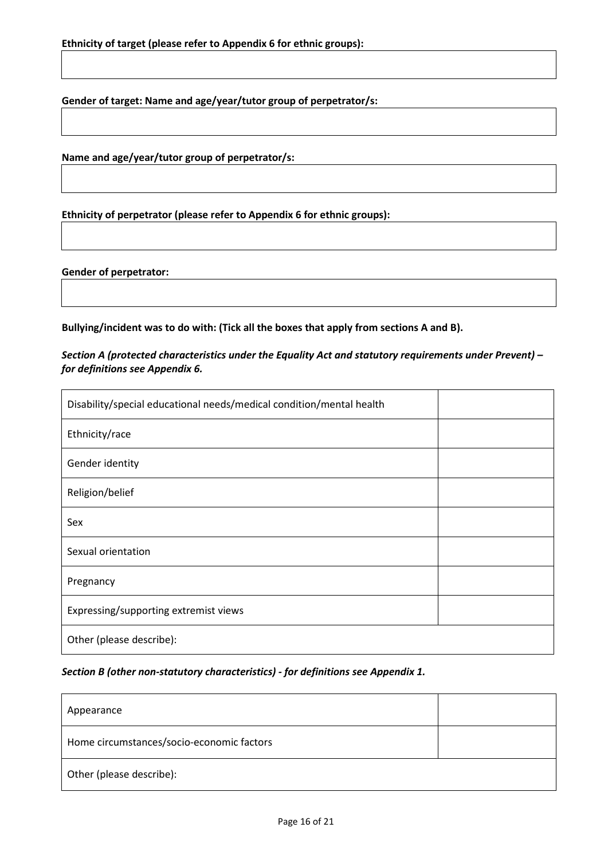**Gender of target: Name and age/year/tutor group of perpetrator/s:**

**Name and age/year/tutor group of perpetrator/s:**

**Ethnicity of perpetrator (please refer to Appendix 6 for ethnic groups):**

#### **Gender of perpetrator:**

**Bullying/incident was to do with: (Tick all the boxes that apply from sections A and B).**

*Section A (protected characteristics under the Equality Act and statutory requirements under Prevent) – for definitions see Appendix 6.*

| Disability/special educational needs/medical condition/mental health |  |  |
|----------------------------------------------------------------------|--|--|
| Ethnicity/race                                                       |  |  |
| Gender identity                                                      |  |  |
| Religion/belief                                                      |  |  |
| Sex                                                                  |  |  |
| Sexual orientation                                                   |  |  |
| Pregnancy                                                            |  |  |
| Expressing/supporting extremist views                                |  |  |
| Other (please describe):                                             |  |  |

#### *Section B (other non-statutory characteristics) - for definitions see Appendix 1.*

| Appearance                                |  |  |
|-------------------------------------------|--|--|
| Home circumstances/socio-economic factors |  |  |
| Other (please describe):                  |  |  |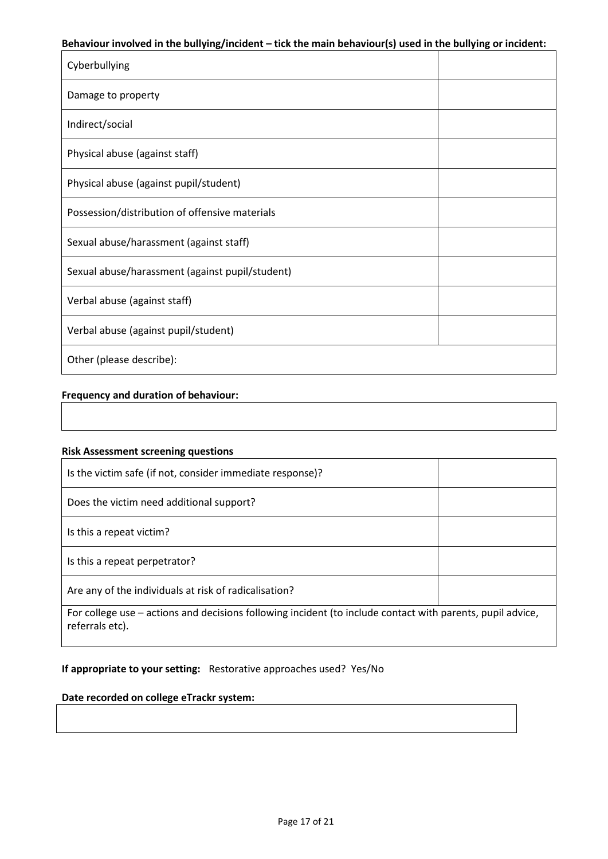#### **Behaviour involved in the bullying/incident – tick the main behaviour(s) used in the bullying or incident:**

| Cyberbullying                                   |  |  |
|-------------------------------------------------|--|--|
| Damage to property                              |  |  |
| Indirect/social                                 |  |  |
| Physical abuse (against staff)                  |  |  |
| Physical abuse (against pupil/student)          |  |  |
| Possession/distribution of offensive materials  |  |  |
| Sexual abuse/harassment (against staff)         |  |  |
| Sexual abuse/harassment (against pupil/student) |  |  |
| Verbal abuse (against staff)                    |  |  |
| Verbal abuse (against pupil/student)            |  |  |
| Other (please describe):                        |  |  |

#### **Frequency and duration of behaviour:**

#### **Risk Assessment screening questions**

| Is the victim safe (if not, consider immediate response)?                                                                     |  |
|-------------------------------------------------------------------------------------------------------------------------------|--|
| Does the victim need additional support?                                                                                      |  |
| Is this a repeat victim?                                                                                                      |  |
| Is this a repeat perpetrator?                                                                                                 |  |
| Are any of the individuals at risk of radicalisation?                                                                         |  |
| For college use – actions and decisions following incident (to include contact with parents, pupil advice,<br>referrals etc). |  |

## **If appropriate to your setting:** Restorative approaches used? Yes/No

## **Date recorded on college eTrackr system:**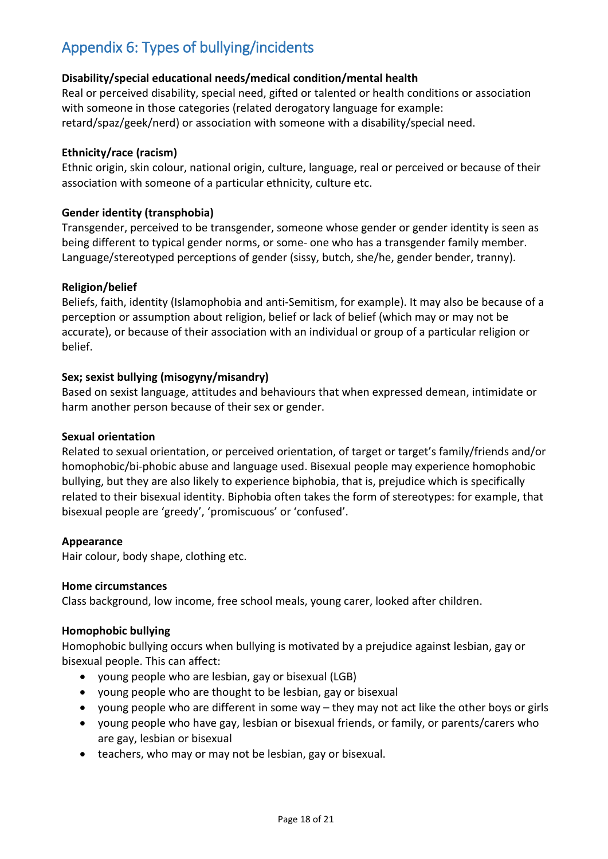# <span id="page-17-0"></span>Appendix 6: Types of bullying/incidents

## **Disability/special educational needs/medical condition/mental health**

Real or perceived disability, special need, gifted or talented or health conditions or association with someone in those categories (related derogatory language for example: retard/spaz/geek/nerd) or association with someone with a disability/special need.

#### **Ethnicity/race (racism)**

Ethnic origin, skin colour, national origin, culture, language, real or perceived or because of their association with someone of a particular ethnicity, culture etc.

#### **Gender identity (transphobia)**

Transgender, perceived to be transgender, someone whose gender or gender identity is seen as being different to typical gender norms, or some- one who has a transgender family member. Language/stereotyped perceptions of gender (sissy, butch, she/he, gender bender, tranny).

#### **Religion/belief**

Beliefs, faith, identity (Islamophobia and anti-Semitism, for example). It may also be because of a perception or assumption about religion, belief or lack of belief (which may or may not be accurate), or because of their association with an individual or group of a particular religion or belief.

## **Sex; sexist bullying (misogyny/misandry)**

Based on sexist language, attitudes and behaviours that when expressed demean, intimidate or harm another person because of their sex or gender.

#### **Sexual orientation**

Related to sexual orientation, or perceived orientation, of target or target's family/friends and/or homophobic/bi-phobic abuse and language used. Bisexual people may experience homophobic bullying, but they are also likely to experience biphobia, that is, prejudice which is specifically related to their bisexual identity. Biphobia often takes the form of stereotypes: for example, that bisexual people are 'greedy', 'promiscuous' or 'confused'.

#### **Appearance**

Hair colour, body shape, clothing etc.

#### **Home circumstances**

Class background, low income, free school meals, young carer, looked after children.

#### **Homophobic bullying**

Homophobic bullying occurs when bullying is motivated by a prejudice against lesbian, gay or bisexual people. This can affect:

- young people who are lesbian, gay or bisexual (LGB)
- young people who are thought to be lesbian, gay or bisexual
- young people who are different in some way they may not act like the other boys or girls
- young people who have gay, lesbian or bisexual friends, or family, or parents/carers who are gay, lesbian or bisexual
- teachers, who may or may not be lesbian, gay or bisexual.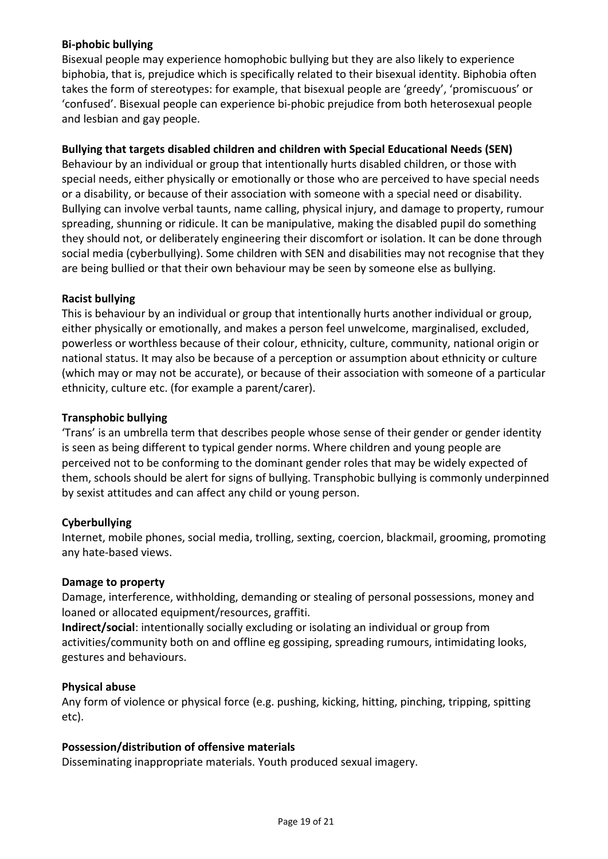## **Bi-phobic bullying**

Bisexual people may experience homophobic bullying but they are also likely to experience biphobia, that is, prejudice which is specifically related to their bisexual identity. Biphobia often takes the form of stereotypes: for example, that bisexual people are 'greedy', 'promiscuous' or 'confused'. Bisexual people can experience bi-phobic prejudice from both heterosexual people and lesbian and gay people.

## **Bullying that targets disabled children and children with Special Educational Needs (SEN)**

Behaviour by an individual or group that intentionally hurts disabled children, or those with special needs, either physically or emotionally or those who are perceived to have special needs or a disability, or because of their association with someone with a special need or disability. Bullying can involve verbal taunts, name calling, physical injury, and damage to property, rumour spreading, shunning or ridicule. It can be manipulative, making the disabled pupil do something they should not, or deliberately engineering their discomfort or isolation. It can be done through social media (cyberbullying). Some children with SEN and disabilities may not recognise that they are being bullied or that their own behaviour may be seen by someone else as bullying.

#### **Racist bullying**

This is behaviour by an individual or group that intentionally hurts another individual or group, either physically or emotionally, and makes a person feel unwelcome, marginalised, excluded, powerless or worthless because of their colour, ethnicity, culture, community, national origin or national status. It may also be because of a perception or assumption about ethnicity or culture (which may or may not be accurate), or because of their association with someone of a particular ethnicity, culture etc. (for example a parent/carer).

## **Transphobic bullying**

'Trans' is an umbrella term that describes people whose sense of their gender or gender identity is seen as being different to typical gender norms. Where children and young people are perceived not to be conforming to the dominant gender roles that may be widely expected of them, schools should be alert for signs of bullying. Transphobic bullying is commonly underpinned by sexist attitudes and can affect any child or young person.

#### **Cyberbullying**

Internet, mobile phones, social media, trolling, sexting, coercion, blackmail, grooming, promoting any hate-based views.

#### **Damage to property**

Damage, interference, withholding, demanding or stealing of personal possessions, money and loaned or allocated equipment/resources, graffiti.

**Indirect/social**: intentionally socially excluding or isolating an individual or group from activities/community both on and offline eg gossiping, spreading rumours, intimidating looks, gestures and behaviours.

#### **Physical abuse**

Any form of violence or physical force (e.g. pushing, kicking, hitting, pinching, tripping, spitting etc).

#### **Possession/distribution of offensive materials**

Disseminating inappropriate materials. Youth produced sexual imagery.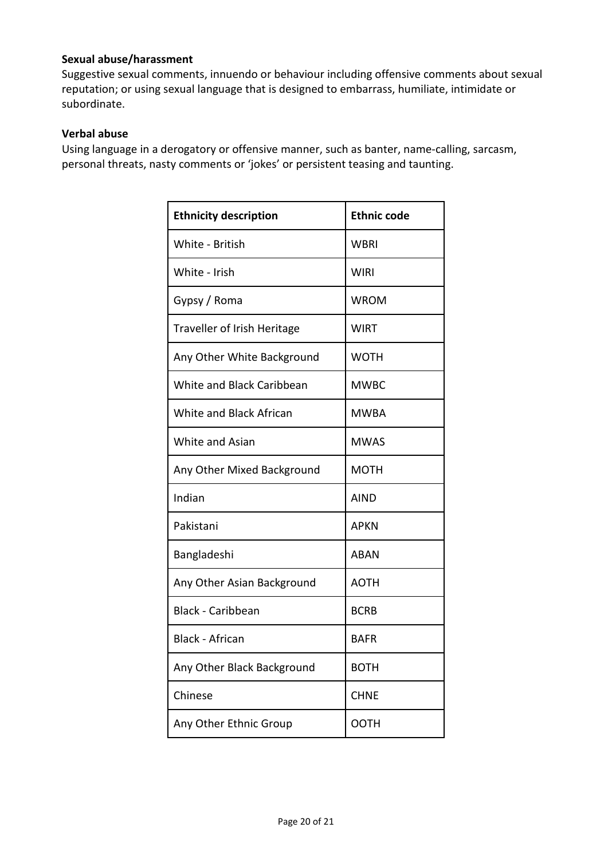## **Sexual abuse/harassment**

Suggestive sexual comments, innuendo or behaviour including offensive comments about sexual reputation; or using sexual language that is designed to embarrass, humiliate, intimidate or subordinate.

#### **Verbal abuse**

Using language in a derogatory or offensive manner, such as banter, name-calling, sarcasm, personal threats, nasty comments or 'jokes' or persistent teasing and taunting.

| <b>Ethnicity description</b>     | <b>Ethnic code</b> |
|----------------------------------|--------------------|
| White - British                  | WBRI               |
| White - Irish                    | WIRI               |
| Gypsy / Roma                     | <b>WROM</b>        |
| Traveller of Irish Heritage      | <b>WIRT</b>        |
| Any Other White Background       | <b>WOTH</b>        |
| <b>White and Black Caribbean</b> | <b>MWBC</b>        |
| White and Black African          | <b>MWBA</b>        |
| White and Asian                  | <b>MWAS</b>        |
| Any Other Mixed Background       | <b>MOTH</b>        |
| Indian                           | <b>AIND</b>        |
| Pakistani                        | <b>APKN</b>        |
| Bangladeshi                      | <b>ABAN</b>        |
| Any Other Asian Background       | <b>AOTH</b>        |
| <b>Black - Caribbean</b>         | <b>BCRB</b>        |
| <b>Black - African</b>           | <b>BAFR</b>        |
| Any Other Black Background       | <b>BOTH</b>        |
| Chinese                          | <b>CHNE</b>        |
| Any Other Ethnic Group           | <b>OOTH</b>        |